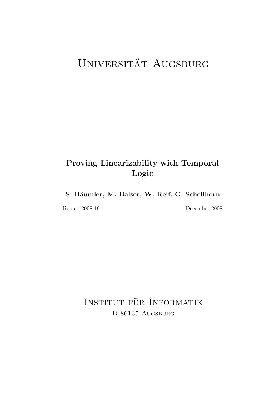# UNIVERSITÄT AUGSBURG

# Proving Linearizability with Temporal Logic

S. Bäumler, M. Balser, W. Reif, G. Schellhorn

Report 2008-19 December 2008

INSTITUT FÜR INFORMATIK D-86135 AUGSBURG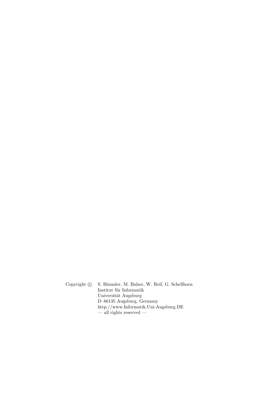Copyright  $\odot$  S. Bäumler, M. Balser, W. Reif, G. Schellhorn Institut für Informatik Universität Augsburg D–86135 Augsburg, Germany http://www.Informatik.Uni-Augsburg.DE — all rights reserved —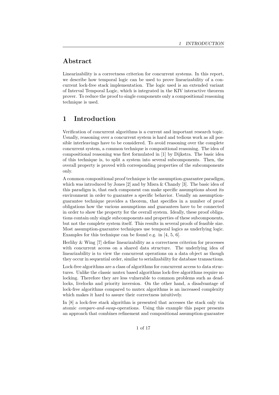# Abstract

Linearizability is a correctness criterion for concurrent systems. In this report, we describe how temporal logic can be used to prove linearizability of a concurrent lock-free stack implementation. The logic used is an extended variant of Interval Temporal Logic, which is integrated in the KIV interactive theorem prover. To reduce the proof to single components only a compositional reasoning technique is used.

# 1 Introduction

Verification of concurrent algorithms is a current and important research topic. Usually, reasoning over a concurrent system is hard and tedious work as all possible interleavings have to be considered. To avoid reasoning over the complete concurrent system, a common technique is compositional reasoning. The idea of compositional reasoning was first formulated in [1] by Dijkstra. The basic idea of this technique is, to split a system into several subcomponents. Then, the overall property is proved with corresponding properties of the subcomponents only.

A common compositional proof technique is the assumption-guarantee paradigm, which was introduced by Jones [2] and by Misra & Chandy [3]. The basic idea of this paradigm is, that each component can make specific assumptions about its environment in order to guarantee a specific behavior. Usually an assumptionguarantee technique provides a theorem, that specifies in a number of proof obligations how the various assumptions and guarantees have to be connected in order to show the property for the overall system. Ideally, these proof obligations contain only single subcomponents and properties of these subcomponents, but not the complete system itself. This results in several proofs of feasible size. Most assumption-guarantee techniques use temporal logics as underlying logic. Examples for this technique can be found e.g. in [4, 5, 6].

Herlihy & Wing [7] define linearizability as a correctness criterion for processes with concurrent access on a shared data structure. The underlying idea of linearizability is to view the concurrent operations on a data object as though they occur in sequential order, similar to serializability for database transactions.

Lock-free algorithms are a class of algorithms for concurrent access to data structures. Unlike the classic mutex based algorithms lock-free algorithms require no locking. Therefore they are less vulnerable to common problems such as deadlocks, livelocks and priority inversion. On the other hand, a disadvantage of lock-free algorithms compared to mutex algorithms is an increased complexity which makes it hard to assure their correctness intuitively.

In [8] a lock-free stack algorithm is presented that accesses the stack only via atomic compare-and-swap-operations. Using this example this paper presents an approach that combines refinement and compositional assumption-guarantee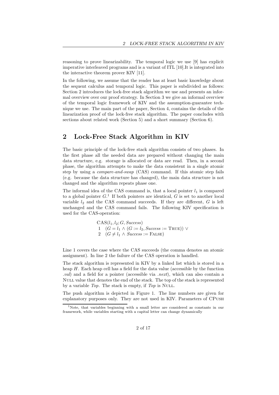reasoning to prove linearizability. The temporal logic we use [9] has explicit imperative interleaved programs and is a variant of ITL [10].It is integrated into the interactive theorem prover KIV [11].

In the following, we assume that the reader has at least basic knowledge about the sequent calculus and temporal logic. This paper is subdivided as follows: Section 2 introduces the lock-free stack algorithm we use and presents an informal overview over our proof strategy. In Section 3 we give an informal overview of the temporal logic framework of KIV and the assumption-guarantee technique we use. The main part of the paper, Section 4, contains the details of the linearization proof of the lock-free stack algorithm. The paper concludes with sections about related work (Section 5) and a short summary (Section 6).

## 2 Lock-Free Stack Algorithm in KIV

The basic principle of the lock-free stack algorithm consists of two phases. In the first phase all the needed data are prepared without changing the main data structure, e.g. storage is allocated or data are read. Then, in a second phase, the algorithm attempts to make the data consistent in a single atomic step by using a compare-and-swap (CAS) command. If this atomic step fails (e.g. because the data structure has changed), the main data structure is not changed and the algorithm repeats phase one.

The informal idea of the CAS command is, that a local pointer  $l_1$  is compared to a global pointer  $G<sup>1</sup>$ . If both pointers are identical, G is set to another local variable  $l_2$  and the CAS command succeeds. If they are different,  $G$  is left unchanged and the CAS command fails. The following KIV specification is used for the CAS-operation:

> $CAS(l_1, l_2; G, Success)$ 1  $(G = l_1 \wedge (G := l_2, Success := \text{TRUE}))$  ∨ 2  $(G \neq l_1 \wedge Success := F_{\text{ALSE}})$

Line 1 covers the case where the CAS succeeds (the comma denotes an atomic assignment). In line 2 the failure of the CAS operation is handled.

The stack algorithm is represented in KIV by a linked list which is stored in a heap H. Each heap cell has a field for the data value (accessible by the function .val) and a field for a pointer (accessible via .next), which can also contain a Null value that denotes the end of the stack. The top of the stack is represented by a variable  $Top$ . The stack is empty, if  $Top$  is NULL.

The push algorithm is depicted in Figure 1. The line numbers are given for explanatory purposes only. They are not used in KIV. Parameters of CPush

<sup>1</sup>Note, that variables beginning with a small letter are considered as constants in our framework, while variables starting with a capital letter can change dynamically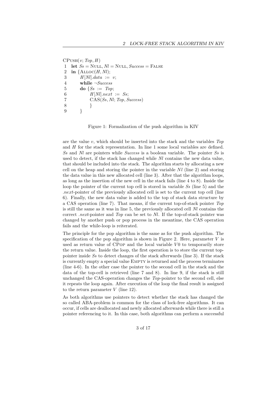```
CPUSH(v; Top, H)1 let S_s = \text{NULL}, Nl = \text{NULL}, Success = \text{FALSE}2 in \{\text{ALLOC}(H, Nl)\};
3 H[Nl].data := v;4 while \neg Success5 do \{Ss := Top;6 H[Nl].next := Ss;7 CAS(Ss, Nl; Top, Success)
8 }
9 }
```
Figure 1: Formalization of the push algorithm in KIV

are the value  $v$ , which should be inserted into the stack and the variables  $Top$ and H for the stack representation. In line 1 some local variables are defined. Ss and Nl are pointers while Success is a boolean variable. The pointer Ss is used to detect, if the stack has changed while Nl contains the new data value, that should be included into the stack. The algorithm starts by allocating a new cell on the heap and storing the pointer in the variable  $Nl$  (line 2) and storing the data value in this new allocated cell (line 3). After that the algorithm loops, as long as the insertion of the new cell in the stack fails (line 4 to 8). Inside the loop the pointer of the current top cell is stored in variable Ss (line 5) and the .next-pointer of the previously allocated cell is set to the current top cell (line 6). Finally, the new data value is added to the top of stack data structure by a CAS operation (line 7). That means, if the current top-of-stack pointer Top is still the same as it was in line 5, the previously allocated cell Nl contains the correct .next-pointer and Top can be set to Nl. If the top-of-stack pointer was changed by another push or pop process in the meantime, the CAS operation fails and the while-loop is reiterated.

The principle for the pop algorithm is the same as for the push algorithm. The specification of the pop algorithm is shown in Figure 2. Here, parameter  $V$  is used as return value of CPop and the local variable  $V_0$  to temporarily store the return value. Inside the loop, the first operation is to store the current toppointer inside Ss to detect changes of the stack afterwards (line 3). If the stack is currently empty a special value Empty is returned and the process terminates (line 4-6). In the other case the pointer to the second cell in the stack and the data of the top-cell is retrieved (line 7 and 8). In line 9, if the stack is still unchanged the CAS-operation changes the Top-pointer to the second cell, else it repeats the loop again. After execution of the loop the final result is assigned to the return parameter  $V$  (line 12).

As both algorithms use pointers to detect whether the stack has changed the so called ABA-problem is common for the class of lock-free algorithms. It can occur, if cells are deallocated and newly allocated afterwards while there is still a pointer referencing to it. In this case, both algorithms can perform a successful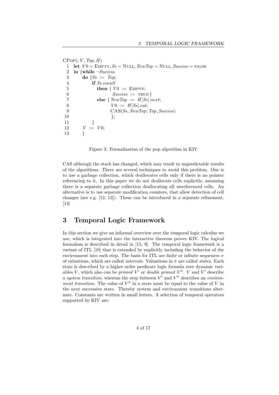```
CPOP(; V, Top, H)1 let V0 = EMPTY, S_s = NULL, NewTop = NULL, Success = FALSE
 2 in {while \neg Success3 do \{S_s := Top\}4 if Ss.isnull
 5 then \{ V0 := \text{EMPTY};6 Success := \text{TRUE}7 else { NewTop := H[SS].next;8 V0 := H[SS].val;9 CAS(Ss, NewTop; Top, Success)
10 };
11 }
12 V := V0;13 }
```
Figure 2: Formalization of the pop algorithm in KIV

CAS although the stack has changed, which may result in unpredictable results of the algorithms. There are several techniques to avoid this problem. One is to use a garbage collection, which deallocates cells only if there is no pointer referencing to it. In this paper we do not deallocate cells explicitly, assuming there is a separate garbage collection deallocating all unreferenced cells. An alternative is to use separate modification counters, that allow detection of cell changes (see e.g. [12, 13]). These can be introduced in a separate refinement. [14]

## 3 Temporal Logic Framework

In this section we give an informal overview over the temporal logic calculus we use, which is integrated into the interactive theorem prover KIV. The logical formalism is described in detail in [15, 9]. The temporal logic framework is a variant of ITL [10] that is extended by explicitly including the behavior of the environment into each step. The basis for ITL are finite or infinite sequences  $\pi$ of valuations, which are called *intervals*. Valuations in  $\pi$  are called *states*. Each state is described by a higher order predicate logic formula over dynamic variables  $V$ , which also can be *primed*  $V'$  or *double primed*  $V''$ .  $V$  and  $V'$  describe a system transition, whereas the step between  $V'$  and  $V''$  describes an environment transition. The value of  $V''$  in a state must be equal to the value of  $V$  in the next successive state. Thereby system and environment transitions alternate. Constants are written in small letters. A selection of temporal operators supported by KIV are: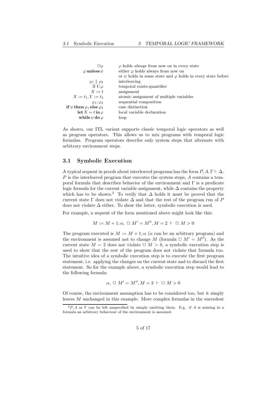| $\square\varphi$                                                             | $\varphi$ holds <i>always</i> from now on in every state                |  |
|------------------------------------------------------------------------------|-------------------------------------------------------------------------|--|
| $\varphi$ unless $\psi$                                                      | either $\varphi$ holds always from now on                               |  |
|                                                                              | or $\psi$ holds in some state and $\varphi$ holds in every state before |  |
| $\varphi_1 \parallel \varphi_2$                                              | interleaving                                                            |  |
| $\exists V.\varphi$                                                          | temporal exists-quantifier                                              |  |
| $X := t$                                                                     | assignment                                                              |  |
| $X := t_1, Y := t_2$                                                         | atomic assignment of multiple variables                                 |  |
| $\varphi_1$ ; $\varphi_2$                                                    | sequential composition                                                  |  |
| $\textbf{if} \ \psi \ \textbf{then} \ \varphi_1 \ \textbf{else} \ \varphi_2$ | case distinction                                                        |  |
| $\det X = t \operatorname{in} \varphi$                                       | local variable declaration                                              |  |
| while $\psi$ do $\varphi$                                                    | loop                                                                    |  |

As shown, our ITL variant supports classic temporal logic operators as well as program operators. This allows us to mix programs with temporal logic formulas. Program operators describe only system steps that alternate with arbitrary environment steps.

#### 3.1 Symbolic Execution

A typical sequent in proofs about interleaved programs has the form  $P, A, \Gamma \vdash \Delta$ . P is the interleaved program that executes the system steps, A contains a temporal formula that describes behavior of the environment and Γ is a predicate logic formula for the current variable assignment, while  $\Delta$  contains the property which has to be shown.<sup>2</sup> To verify that  $\Delta$  holds it must be proved that the current state  $\Gamma$  does not violate  $\Delta$  and that the rest of the program run of P does not violate  $\Delta$  either. To show the latter, symbolic execution is used.

For example, a sequent of the form mentioned above might look like this:

$$
M:=M+1;\alpha,\ \Box\ M'=M'',M=2\ \vdash\ \Box\ M>0
$$

The program executed is  $M := M + 1$ ;  $\alpha$  ( $\alpha$  can be an arbitrary program) and the environment is assumed not to change M (formula  $\Box M' = M''$ ). As the current state  $M = 2$  does not violate  $\square M > 0$ , a symbolic execution step is used to show that the rest of the program does not violate that formula too. The intuitive idea of a symbolic execution step is to execute the first program statement, i.e. applying the changes on the current state and to discard the first statement. So for the example above, a symbolic execution step would lead to the following formula:

$$
\alpha, \ \Box \ M' = M'', M = 3 \ \vdash \ \Box \ M > 0
$$

Of course, the environment assumption has to be considered too, but it simply leaves M unchanged in this example. More complex formulas in the succedent

 ${}^{2}P$ , A or  $\Gamma$  can be left unspecified by simply omitting them. E.g. if A is missing in a formula an arbitrary behaviour of the environment is assumed.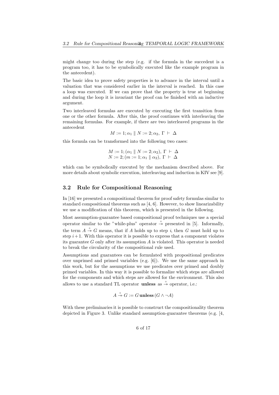might change too during the step (e.g. if the formula in the succedent is a program too, it has to be symbolically executed like the example program in the antecedent).

The basic idea to prove safety properties is to advance in the interval until a valuation that was considered earlier in the interval is reached. In this case a loop was executed. If we can prove that the property is true at beginning and during the loop it is invariant the proof can be finished with an inductive argument.

Two interleaved formulas are executed by executing the first transition from one or the other formula. After this, the proof continues with interleaving the remaining formulas. For example, if there are two interleaved programs in the antecedent

$$
M := 1; \alpha_1 \parallel N := 2; \alpha_2, \Gamma \vdash \Delta
$$

this formula can be transformed into the following two cases:

$$
M := 1; (\alpha_1 \parallel N := 2; \alpha_2), \Gamma \vdash \Delta N := 2; (m := 1; \alpha_1 \parallel \alpha_2), \Gamma \vdash \Delta
$$

which can be symbolically executed by the mechanism described above. For more details about symbolic execution, interleaving and induction in KIV see [9].

#### 3.2 Rule for Compositional Reasoning

In [16] we presented a compositional theorem for proof safety formulas similar to standard compositional theorems such as [4, 6]. However, to show linearizability we use a modification of this theorem, which is presented in the following.

Most assumption-guarantee based compositional proof techniques use a special operator similar to the "while-plus" operator  $\stackrel{+}{\Rightarrow}$  presented in [5]. Informally, the term  $A \stackrel{+}{\rightarrow} G$  means, that if A holds up to step i, then G must hold up to step  $i+1$ . With this operator it is possible to express that a component violates its guarantee  $G$  only after its assumption  $A$  is violated. This operator is needed to break the circularity of the compositional rule used.

Assumptions and guarantees can be formulated with propositional predicates over unprimed and primed variables (e.g. [6]). We use the same approach in this work, but for the assumptions we use predicates over primed and doubly primed variables. In this way it is possible to formalize which steps are allowed for the components and which steps are allowed for the environment. This also allows to use a standard TL operator **unless** as  $\stackrel{+}{\rightarrow}$  operator, i.e.:

$$
A \stackrel{+}{\rightarrow} G := G \text{ unless } (G \land \neg A)
$$

With these preliminaries it is possible to construct the compositionality theorem depicted in Figure 3. Unlike standard assumption-guarantee theorems (e.g. [4,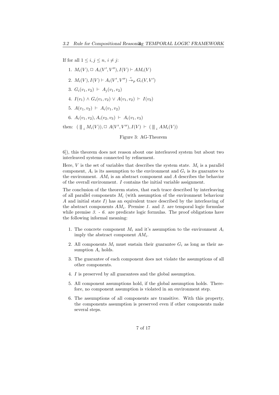If for all  $1 \leq i, j \leq n, i \neq j$ :

1.  $M_i(V)$ ,  $\Box A_i(V', V'')$ ,  $I(V) \vdash AM_i(V)$ 

- 2.  $M_i(V), I(V) \vdash A_i(V', V'') \xrightarrow{\,+} B G_i(V, V')$
- 3.  $G_i(v_1, v_2)$  ⊢  $A_i(v_1, v_2)$
- 4.  $I(v_1) \wedge G_i(v_1, v_2) \vee A(v_1, v_2) \vdash I(v_2)$
- 5.  $A(v_1, v_2) \vdash A_i(v_1, v_2)$
- 6.  $A_i(v_1, v_2), A_i(v_2, v_3) \vdash A_i(v_1, v_3)$

then:  $(||i M_i(V), \Box A(V', V''), I(V) \vdash (||i A M_i(V))$ 

Figure 3: AG-Theorem

6]), this theorem does not reason about one interleaved system but about two interleaved systems connected by refinement.

Here,  $V$  is the set of variables that describes the system state.  $M_i$  is a parallel component,  $A_i$  is its assumption to the environment and  $G_i$  is its guarantee to the environment.  $AM_i$  is an abstract component and A describes the behavior of the overall environment. I contains the initial variable assignment.

The conclusion of the theorem states, that each trace described by interleaving of all parallel components  $M_i$  (with assumption of the environment behaviour A and initial state  $I$ ) has an equivalent trace described by the interleaving of the abstract components  $AM_i$ . Premise 1. and 2. are temporal logic formulae while premise  $3. - 6$ . are predicate logic formulas. The proof obligations have the following informal meaning:

- 1. The concrete component  $M_i$  and it's assumption to the environment  $A_i$ imply the abstract component  $AM_i$ .
- 2. All components  $M_i$  must sustain their guarantee  $G_i$  as long as their assumption  $A_i$  holds.
- 3. The guarantee of each component does not violate the assumptions of all other components.
- 4. I is preserved by all guarantees and the global assumption.
- 5. All component assumptions hold, if the global assumption holds. Therefore, no component assumption is violated in an environment step.
- 6. The assumptions of all components are transitive. With this property, the components assumption is preserved even if other components make several steps.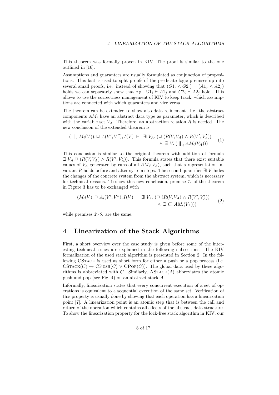This theorem was formally proven in KIV. The proof is similar to the one outlined in [16].

Assumptions and guarantees are usually formulated as conjunction of propositions. This fact is used to split proofs of the predicate logic premises up into several small proofs, i.e. instead of showing that  $(G1_i \wedge G2_i) \vdash (A1_i \wedge A2_i)$ holds we can separately show that e.g.  $G1_i$  ⊢  $A1_j$  and  $G2_i$  ⊢  $A2_j$  hold. This allows to use the correctness management of KIV to keep track, which assumptions are connected with which guarantees and vice versa.

The theorem can be extended to show also data refinement. I.e. the abstract components  $AM_i$  have an abstract data type as parameter, which is described with the variable set  $V_A$ . Therefore, an abstraction relation R is needed. The new conclusion of the extended theorem is

$$
(\parallel_i M_i(V)), \Box A(V', V''), I(V) \vdash \exists V_A. (\Box (R(V, V_A) \land R(V', V'_A)) \land \exists V. (\parallel_i AM_i(V_A)))
$$
 (1)

This conclusion is similar to the original theorem with addition of formula  $\exists V_A. \Box (R(V, V_A) \land R(V', V'_A))$ . This formula states that there exist suitable values of  $V_A$  generated by runs of all  $AM_i(V_A)$ , such that a representation invariant R holds before and after system steps. The second quantifier  $\exists V$  hides the changes of the concrete system from the abstract system, which is necessary for technical reasons. To show this new conclusion, premise 1. of the theorem in Figure 3 has to be exchanged with

$$
(M_i(V), \Box A_i(V', V''), I(V) \vdash \exists V_A. (\Box (R(V, V_A) \land R(V', V'_A))) \land \exists C. AM_i(V_A)))
$$
\n(2)

while premises 2.-6. are the same.

#### 4 Linearization of the Stack Algorithms

First, a short overview over the case study is given before some of the interesting technical issues are explained in the following subsections. The KIV formalization of the used stack algorithm is presented in Section 2. In the following CSTACK is used as short form for either a push or a pop process (i.e.  $\text{CStack}(C) \leftrightarrow \text{CPush}(C) \vee \text{CPop}(C)$ . The global data used by these algorithms is abbreviated with C. Similarly,  $\text{ASTACK}(A)$  abbreviates the atomic push and pop (see Fig. 4) on an abstract stack A.

Informally, linearization states that every concurrent execution of a set of operations is equivalent to a sequential execution of the same set. Verification of this property is usually done by showing that each operation has a linearization point [7]. A linearization point is an atomic step that is between the call and return of the operation which contains all effects of the abstract data structure. To show the linearization property for the lock-free stack algorithm in KIV, our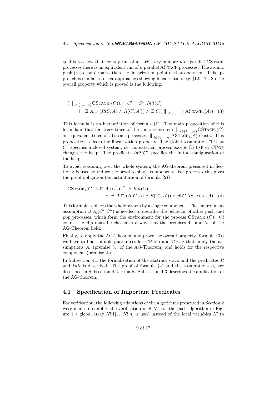goal is to show that for any run of an arbitrary number  $n$  of parallel CSTACK processes there is an equivalent run of  $n$  parallel ASTACK processes. The atomic push (resp. pop) marks then the linearization point of that operation. This approach is similar to other approaches showing linearization, e.g. [12, 17]. So the overall property which is proved is the following:

$$
(\parallel_{i \in \{1,\ldots,n\}} \text{CState}(C)), \square C' = C'', \text{Init}(C)
$$
  
 
$$
\vdash \exists A. \square \ (R(C, A) \land R(C', A')) \land \exists C. (\parallel_{i \in \{1,\ldots,n\}} \text{ASTACK}_i(A)) \quad (3)
$$

This formula is an instantiation of formula (1). The main proposition of this formula is that for every trace of the concrete system  $\|\cdot_{i\in\{1,\ldots,n\}}\text{CSTATE}_i(C)$ an equivalent trace of abstract processes  $\| \iota_{\in \{1,...,n\}}$ ASTACK $\iota(A)$  exists. This proposition reflects the linearization property. The global assumption  $\Box C'$ C ′′ specifies a closed system, i.e. no external process except CPush or CPop changes the heap. The predicate  $Init(C)$  specifies the initial configuration of the heap.

To avoid reasoning over the whole system, the AG-theorem presented in Section 3 is used to reduce the proof to single components. For process  $i$  this gives the proof obligation (as instantiation of formula (2))

$$
CSTACK_i(C) \wedge \Box A_i(C', C'') \wedge Init(C)
$$
  
 
$$
\vdash \exists A. \Box (R(C, A) \wedge R(C', A')) \wedge \exists C. ASTACK_i(A) \quad (4)
$$

This formula replaces the whole system by a single component. The environment assumption  $\Box A_i(C', C'')$  is needed to describe the behavior of other push and pop processes, which form the environment for the process  $\text{CStack}_{i}(C)$ . Of course the  $A_i$ s must be chosen in a way that the premises 4. and 5. of the AG-Theorem hold.

Finally, to apply the AG-Theorem and prove the overall property (formula (3)) we have to find suitable guarantees for CPush and CPop that imply the assumptions  $A_i$  (premise 3. of the AG-Theorem) and holds for the respective component (premise 2.).

In Subsection 4.1 the formalization of the abstract stack and the predicates R and *Init* is described. The proof of formula (4) and the assumptions  $A_i$  are described in Subsection 4.2. Finally, Subsection 4.3 describes the application of the AG-theorem.

#### 4.1 Specification of Important Predicates

For verification, the following adaptions of the algorithms presented in Section 2 were made to simplify the verification in KIV: For the push algorithm in Figure 1 a global array  $Nl[1] \ldots Nl[n]$  is used instead of the local variables Nl to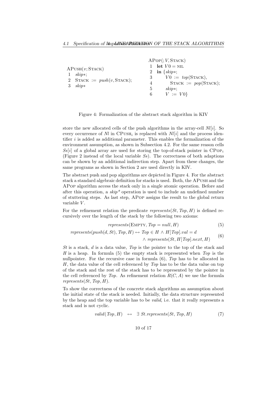| APUSH(v;STACK)<br>skip<br>2 STACK := $push(v, \text{STACK});$<br>$skip*$ | $APOP$ $(; V,$ STACK $)$<br>1 let $V0 = \text{NIL}$<br>2 in $\{skip\}$<br>$V0 := top(\text{Stack}),$<br>STACK := $pop(\text{Stack});$<br>4<br>$skip$ :<br>5<br>$V := V0$<br>6 |
|--------------------------------------------------------------------------|-------------------------------------------------------------------------------------------------------------------------------------------------------------------------------|
|--------------------------------------------------------------------------|-------------------------------------------------------------------------------------------------------------------------------------------------------------------------------|

Figure 4: Formalization of the abstract stack algorithm in KIV

store the new allocated cells of the push algorithms in the array-cell  $Nl[i]$ . So every occurrence of  $Nl$  in  $CP \text{usH}_i$  is replaced with  $Nl[i]$  and the process identifier  $i$  is added as additional parameter. This enables the formalization of the environment assumption, as shown in Subsection 4.2. For the same reason cells  $Ssi[i]$  of a global array are used for storing the top-of-stack pointer in CPoP<sub>i</sub> (Figure 2 instead of the local variable Ss). The correctness of both adaptions can be shown by an additional indirection step. Apart from these changes, the same programs as shown in Section 2 are used directly in KIV.

The abstract push and pop algorithms are depicted in Figure 4. For the abstract stack a standard algebraic definition for stacks is used. Both, the APush and the APop algorithm access the stack only in a single atomic operation. Before and after this operation, a  $skip^*$  operation is used to include an undefined number of stuttering steps. As last step, APop assigns the result to the global return variable V.

For the refinement relation the predicate represents  $(St, Top, H)$  is defined recursively over the length of the stack by the following two axioms:

$$
represents(\text{EMPTY}, \text{Top} = null, H) \tag{5}
$$

$$
represents(push(d, St), Top, H) \leftrightarrow Top \in H \land H[Top].val = d
$$
  
 
$$
\land \, represents(St, H[Top].next, H)
$$
 (6)

St is a stack, d is a data value, Top is the pointer to the top of the stack and H is a heap. In formula  $(5)$  the empty stack is represented when  $Top$  is the nullpointer. For the recursive case in formula (6), Top has to be allocated in  $H$ , the data value of the cell referenced by  $Top$  has to be the data value on top of the stack and the rest of the stack has to be represented by the pointer in the cell referenced by Top. As refinement relation  $R(C, A)$  we use the formula  $represents(St, Top, H).$ 

To show the correctness of the concrete stack algorithms an assumption about the initial state of the stack is needed. Initially, the data structure represented by the heap and the top variable has to be valid, i.e. that it really represents a stack and is not cyclic.

$$
valid(Top, H) \leftrightarrow \exists St. represents(St, Top, H)
$$
\n(7)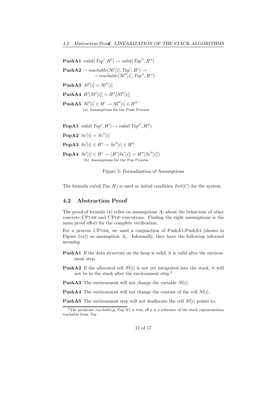**PushA1** valid( $Top', H'$ )  $\rightarrow$  valid( $Top'', H'$ )

 $\mathbf{PushA2}\ \neg\ reachable(Nl'[i],\mathit{Top}',H')\rightarrow$  $\neg \: reachable(Nl''[i],\mathit{Top}'',H'')$ 

**PushA3**  $Nl'[i] = Nl''[i]$ 

**PushA4**  $H'[Nl'[i]] = H''[Nl''[i]]$ 

**PushA5**  $Nl'[i] \in H' \rightarrow Nl''[i] \in H''$ (a) Assumptions for the Push Process

**PopA1** valid( $Top', H'$ )  $\rightarrow$  valid( $Top'', H'$ )

**PopA2**  $Ss'[i] = Ss''[i]$ 

 $\textbf{PopA3}\;\;Ss'[i]\in H'\rightarrow Ss''[i]\in H''$ 

 $\textbf{PopA4} \ \ Ss'[i] \in H' \to (H'[Ss'[i]] = H''[Ss''[i]])$ (b) Assumptions for the Pop Process

Figure 5: Formalization of Assumptions

The formula *valid*( $Top, H$ ) is used as initial condition  $Init(C)$  for the system.

#### 4.2 Abstraction Proof

The proof of formula (4) relies on assumptions  $A_i$  about the behaviour of other concrete CPush and CPop executions. Finding the right assumptions is the main proof effort for the complete verification.

For a process  $CP \text{USH}_i$  we used a conjunction of PushA1-PushA4 (shown in Figure 5(a)) as assumption  $A_i$ . Informally, they have the following informal meaning

- PushA1 If the data structure on the heap is valid, it is valid after the environment step.
- **PushA2** If the allocated cell  $N[i]$  is not yet integrated into the stack, it will not be in the stack after the environment step.<sup>3</sup>
- **PushA3** The environment will not change the variable  $N[i]$ .

**PushA4** The environment will not change the content of the cell  $N[i]$ .

**PushA5** The environment step will not deallocate the cell  $N[i]$  points to.

<sup>&</sup>lt;sup>3</sup>The predicate *reachable*( $p$ ,  $Top$ ,  $H$ ) is true, iff  $p$  is a reference of the stack representation reachable from Top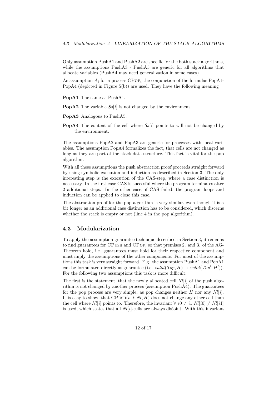Only assumption PushA1 and PushA2 are specific for the both stack algorithms, while the assumptions PushA3 - PushA5 are generic for all algorithms that allocate variables (PushA4 may need generalization in some cases).

As assumption  $A_i$  for a process CPOP<sub>i</sub> the conjunction of the formulas PopA1-PopA4 (depicted in Figure 5(b)) are used. They have the following meaning

PopA1 The same as PushA1.

**PopA2** The variable  $Ss[i]$  is not changed by the environment.

PopA3 Analogous to PushA5.

**PopA4** The content of the cell where  $S_s[i]$  points to will not be changed by the environment.

The assumptions PopA2 and PopA3 are generic for processes with local variables. The assumption PopA4 formalizes the fact, that cells are not changed as long as they are part of the stack data structure. This fact is vital for the pop algorithm.

With all these assumptions the push abstraction proof proceeds straight forward by using symbolic execution and induction as described in Section 3. The only interesting step is the execution of the CAS-step, where a case distinction is necessary. In the first case CAS is succesful where the program terminates after 2 additional steps. In the other case, if CAS failed, the program loops and induction can be applied to close this case.

The abstraction proof for the pop algorithm is very similar, even though it is a bit longer as an additional case distinction has to be considered, which discerns whether the stack is empty or not (line 4 in the pop algorithm).

#### 4.3 Modularization

To apply the assumption-guarantee technique described in Section 3, it remains to find guarantees for CPush and CPop, so that premises 2. and 3. of the AG-Theorem hold, i.e. guarantees must hold for their respective component and must imply the assumptions of the other components. For most of the assumptions this task is very straight forward. E.g. the assumption PushA1 and PopA1 can be formulated directly as guarantee (i.e. valid(Top, H)  $\rightarrow$  valid(Top', H')). For the following two assumptions this task is more difficult:

The first is the statement, that the newly allocated cell  $Nl[i]$  of the push algorithm is not changed by another process (assumption PushA4). The guarantees for the pop process are very simple, as pop changes neither H nor any  $N[i]$ . It is easy to show, that  $CP \text{USH}(v, i; N\mathcal{U}, H)$  does not change any other cell than the cell where  $N[i]$  points to. Therefore, the invariant  $\forall i \in \{i1..N[ii]\}\neq N[i1]$ is used, which states that all  $N[i]$ -cells are always disjoint. With this invariant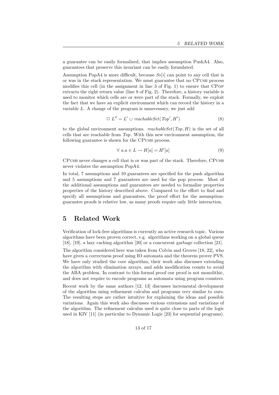a guarantee can be easily formalized, that implies assumption PushA4. Also, guarantees that preserve this invariant can be easily formulated.

Assumption PopA4 is more difficult, because  $S[\iota]$  can point to any cell that is or was in the stack representation. We must guarantee that no CPush process modifies this cell (in the assignment in line 3 of Fig. 1) to ensure that CPop extracts the right return value (line 8 of Fig. 2). Therefore, a history variable is used to monitor which cells are or were part of the stack. Formally, we exploit the fact that we have an explicit environment which can record the history in a variable L. A change of the program is unnecessary, we just add

$$
\Box L'' = L' \cup reachableSet(Top', H') \tag{8}
$$

to the global environment assumptions. reachable Set (Top,  $H$ ) is the set of all cells that are reachable from Top. With this new environment assumption, the following guarantee is shown for the CPush process.

$$
\forall a.a \in L \to H[a] = H'[a] \tag{9}
$$

CPush never changes a cell that is or was part of the stack. Therefore, CPush never violates the assumption PopA4.

In total, 7 assumptions and 10 guarantees are specified for the push algorithm and 5 assumptions and 7 guarantees are used for the pop process. Most of the additional assumptions and guarantees are needed to formalize properties properties of the history described above. Compared to the effort to find and specify all assumptions and guarantees, the proof effort for the assumptionguarantee proofs is relative low, as many proofs require only little interaction.

#### 5 Related Work

Verification of lock-free algorithms is currently an active research topic. Various algorithms have been proven correct, e.g. algorithms working on a global queue [18], [19], a lazy caching algorithm [20] or a concurrent garbage collection [21].

The algorithm considered here was taken from Colvin and Groves [18, 22], who have given a correctness proof using IO automata and the theorem prover PVS. We have only studied the core algorithm, their work also discusses extending the algorithm with elimination arrays, and adds modification counts to avoid the ABA problem. In contrast to this formal proof our proof is not monolithic, and does not require to encode programs as automata using program counters.

Recent work by the same authors [12, 13] discusses incremental development of the algorithm using refinement calculus and programs very similar to ours. The resulting steps are rather intuitive for explaining the ideas and possible variations. Again this work also discusses various extensions and variations of the algorithm. The refinement calculus used is quite close to parts of the logic used in KIV [11] (in particular to Dynamic Logic [23] for sequential programs).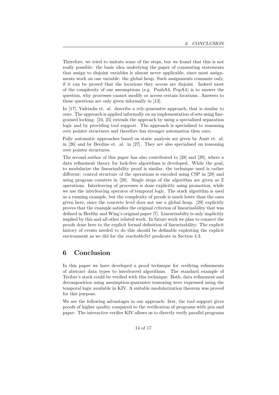Therefore, we tried to imitate some of the steps, but we found that this is not really possible: the basic idea underlying the paper of commuting statements that assign to disjoint variables is almost never applicable, since most assignments work on one variable: the global heap. Such assignments commute only, if it can be proved that the locations they access are disjoint. Indeed most of the complexity of our assumptions (e.g. PushA4, PopA4) is to answer the question, why processes cannot modify or access certain locations. Answers to these questions are only given informally in [12].

In [17], Vafeiadis et. al. describe a rely-guarantee approach, that is similar to ours. The approach is applied informally on an implementation of sets using finegrained locking. [24, 25] extends the approach by using a specialized separation logic and by providing tool support. The approach is specialised to reasoning over pointer structures and therefore has stronger automation then ours.

Fully automatic approaches based on static analysis are given by Amit et. al. in [26] and by Berdine et. al. in [27]. They are also specialised on reasoning over pointer structures.

The second author of this paper has also contributed to [28] and [29], where a data refinement theory for lock-free algorithms is developed. While the goal, to modularize the linearizability proof is similar, the technique used is rather different: control structure of the operations is encoded using CSP in [28] and using program counters in [29]. Single steps of the algorithm are given as Z operations. Interleaving of processes is done explicitly using promotion, while we use the interleaving operator of temporal logic. The stack algorithm is used as a running example, but the complexity of proofs is much lower than the ones given here, since the concrete level does not use a global heap. [29] explicitly proves that the example satisfies the original criterion of linearizability that was defined in Herlihy and Wing's original paper [7]. Linearizabilty is only implicitly implied by this and all other related work. In future work we plan to connect the proofs done here to the explicit formal definition of linearizability. The explicit history of events needed to do this should be definable exploiting the explicit environment as we did for the *reachableSet* predicate in Section 4.3.

#### 6 Conclusion

In this paper we have developed a proof technique for verifying refinements of abstract data types to interleaved algorithms. The standard example of Treiber's stack could be verified with this technique. Both, data refinement and decomposition using assumption-guarantee reasoning were expressed using the temporal logic available in KIV. A suitable modularization theorem was proved for this purpose.

We see the following advantages in our approach: first, the tool support gives proofs of higher quality compared to the verification of programs with pen and paper. The interactive verifier KIV allows us to directly verify parallel programs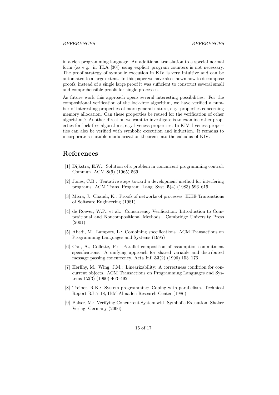in a rich programming language. An additional translation to a special normal form (as e.g. in TLA [30]) using explicit program counters is not necessary. The proof strategy of symbolic execution in KIV is very intuitive and can be automated to a large extent. In this paper we have also shown how to decompose proofs; instead of a single large proof it was sufficient to construct several small and comprehensible proofs for single processes.

As future work this approach opens several interesting possibilities. For the compositional verification of the lock-free algorithm, we have verified a number of interesting properties of more general nature, e.g., properties concerning memory allocation. Can these properties be reused for the verification of other algorithms? Another direction we want to investigate is to examine other properties for lock-free algorithms, e.g. liveness properties. In KIV, liveness properties can also be verified with symbolic execution and induction. It remains to incorporate a suitable modularization theorem into the calculus of KIV.

# References

- [1] Dijkstra, E.W.: Solution of a problem in concurrent programming control. Commun. ACM 8(9) (1965) 569
- [2] Jones, C.B.: Tentative steps toward a development method for interfering programs. ACM Trans. Program. Lang. Syst. 5(4) (1983) 596–619
- [3] Misra, J., Chandi, K.: Proofs of networks of processes. IEEE Transactions of Software Engineering (1981)
- [4] de Roever, W.P., et al.: Concurrency Verification: Introduction to Compositional and Noncompositional Methods. Cambridge University Press (2001)
- [5] Abadi, M., Lamport, L.: Conjoining specifications. ACM Transactions on Programming Languages and Systems (1995)
- [6] Cau, A., Collette, P.: Parallel composition of assumption-commitment specifications: A unifying approach for shared variable and distributed message passing concurrency. Acta Inf.  $33(2)$  (1996) 153-176
- [7] Herlihy, M., Wing, J.M.: Linearizability: A correctness condition for concurrent objects. ACM Transactions on Programming Languages and Systems  $12(3)$  (1990) 463-492
- [8] Treiber, R.K.: System programming: Coping with parallelism. Technical Report RJ 5118, IBM Almaden Research Center (1986)
- [9] Balser, M.: Verifying Concurrent System with Symbolic Execution. Shaker Verlag, Germany (2006)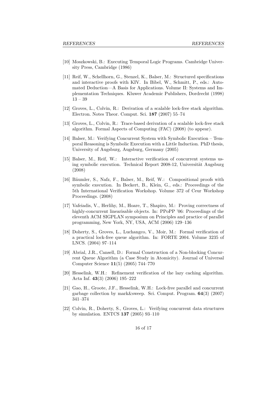- [10] Moszkowski, B.: Executing Temporal Logic Programs. Cambridge University Press, Cambridge (1986)
- [11] Reif, W., Schellhorn, G., Stenzel, K., Balser, M.: Structured specifications and interactive proofs with KIV. In Bibel, W., Schmitt, P., eds.: Automated Deduction—A Basis for Applications. Volume II: Systems and Implementation Techniques. Kluwer Academic Publishers, Dordrecht (1998) 13 – 39
- [12] Groves, L., Colvin, R.: Derivation of a scalable lock-free stack algorithm. Electron. Notes Theor. Comput. Sci. 187 (2007) 55–74
- [13] Groves, L., Colvin, R.: Trace-based derivation of a scalable lock-free stack algorithm. Formal Aspects of Computing (FAC) (2008) (to appear).
- [14] Balser, M.: Verifying Concurrent System with Symbolic Execution Temporal Reasoning is Symbolic Execution with a Little Induction. PhD thesis, University of Augsburg, Augsburg, Germany (2005)
- [15] Balser, M., Reif, W.: Interactive verification of concurrent systems using symbolic execution. Technical Report 2008-12, Universität Augsburg (2008)
- [16] Bäumler, S., Nafz, F., Balser, M., Reif, W.: Compositional proofs with symbolic execution. In Beckert, B., Klein, G., eds.: Proceedings of the 5th International Verification Workshop. Volume 372 of Ceur Workshop Proceedings. (2008)
- [17] Vafeiadis, V., Herlihy, M., Hoare, T., Shapiro, M.: Proving correctness of highly-concurrent linearisable objects. In: PPoPP '06: Proceedings of the eleventh ACM SIGPLAN symposium on Principles and practice of parallel programming, New York, NY, USA, ACM (2006) 129–136
- [18] Doherty, S., Groves, L., Luchangco, V., Moir, M.: Formal verification of a practical lock-free queue algorithm. In: FORTE 2004. Volume 3235 of LNCS. (2004) 97–114
- [19] Abrial, J.R., Cansell, D.: Formal Construction of a Non-blocking Concurrent Queue Algorithm (a Case Study in Atomicity). Journal of Universal Computer Science 11(5) (2005) 744–770
- [20] Hesselink, W.H.: Refinement verification of the lazy caching algorithm. Acta Inf. 43(3) (2006) 195–222
- [21] Gao, H., Groote, J.F., Hesselink, W.H.: Lock-free parallel and concurrent garbage collection by mark&sweep. Sci. Comput. Program. 64(3) (2007) 341–374
- [22] Colvin, R., Doherty, S., Groves, L.: Verifying concurrent data structures by simulation. ENTCS 137 (2005) 93–110